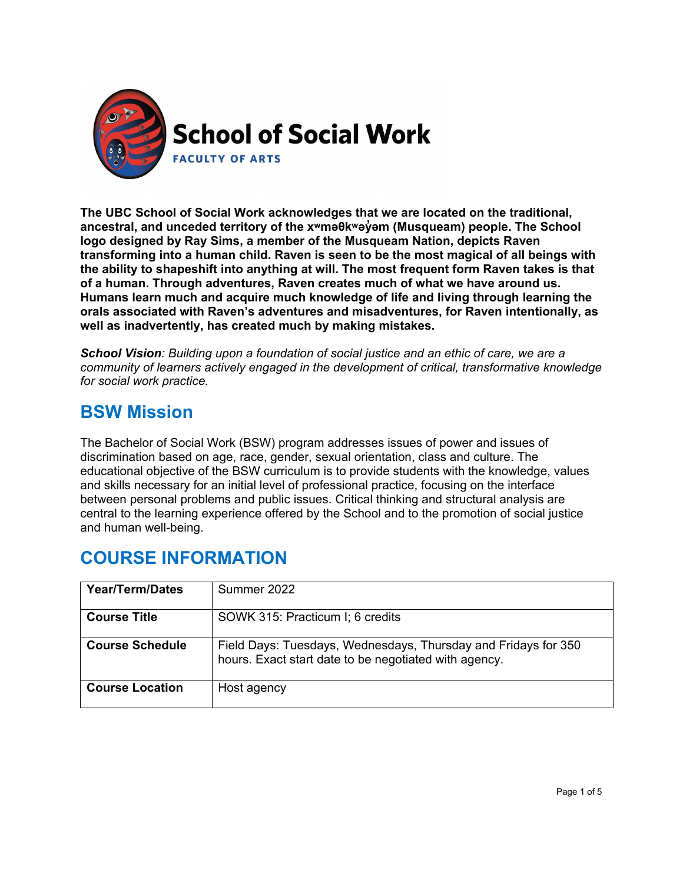

**The UBC School of Social Work acknowledges that we are located on the traditional, ancestral, and unceded territory of the [xʷməθkʷəy̓əm](http://www.musqueam.bc.ca/) (Musqueam) people. The School logo designed by Ray Sims, a member of the Musqueam Nation, depicts Raven transforming into a human child. Raven is seen to be the most magical of all beings with the ability to shapeshift into anything at will. The most frequent form Raven takes is that of a human. Through adventures, Raven creates much of what we have around us. Humans learn much and acquire much knowledge of life and living through learning the orals associated with Raven's adventures and misadventures, for Raven intentionally, as well as inadvertently, has created much by making mistakes.**

*School Vision: Building upon a foundation of social justice and an ethic of care, we are a community of learners actively engaged in the development of critical, transformative knowledge for social work practice.*

# **BSW Mission**

The Bachelor of Social Work (BSW) program addresses issues of power and issues of discrimination based on age, race, gender, sexual orientation, class and culture. The educational objective of the BSW curriculum is to provide students with the knowledge, values and skills necessary for an initial level of professional practice, focusing on the interface between personal problems and public issues. Critical thinking and structural analysis are central to the learning experience offered by the School and to the promotion of social justice and human well-being.

# **COURSE INFORMATION**

| <b>Year/Term/Dates</b> | Summer 2022                                                                                                             |
|------------------------|-------------------------------------------------------------------------------------------------------------------------|
| <b>Course Title</b>    | SOWK 315: Practicum I; 6 credits                                                                                        |
| <b>Course Schedule</b> | Field Days: Tuesdays, Wednesdays, Thursday and Fridays for 350<br>hours. Exact start date to be negotiated with agency. |
| <b>Course Location</b> | Host agency                                                                                                             |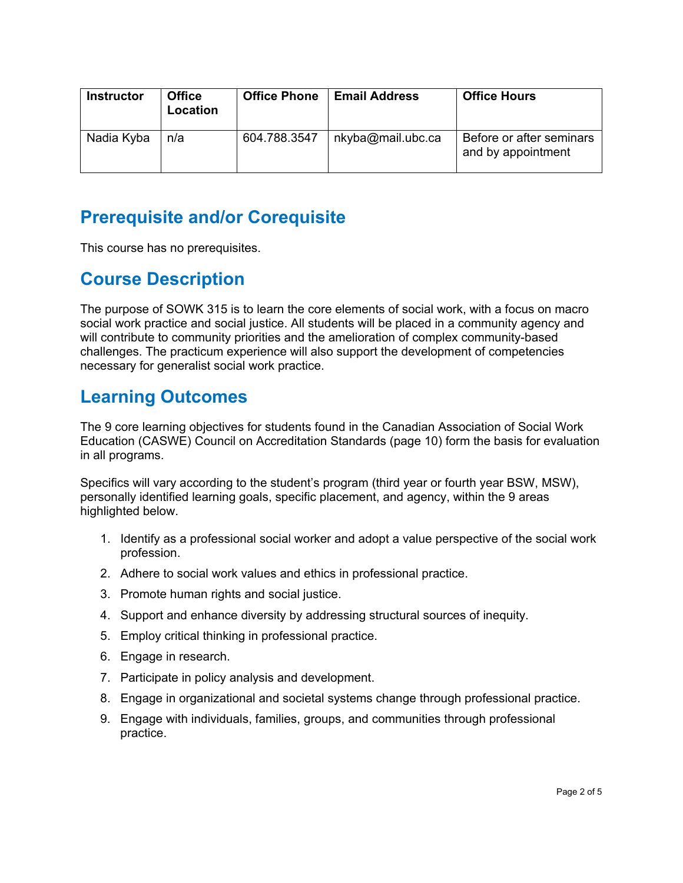| <b>Instructor</b> | <b>Office</b><br>Location | <b>Office Phone</b> | <b>Email Address</b> | <b>Office Hours</b>                            |
|-------------------|---------------------------|---------------------|----------------------|------------------------------------------------|
| Nadia Kyba        | n/a                       | 604.788.3547        | nkyba@mail.ubc.ca    | Before or after seminars<br>and by appointment |

# **Prerequisite and/or Corequisite**

This course has no prerequisites.

# **Course Description**

The purpose of SOWK 315 is to learn the core elements of social work, with a focus on macro social work practice and social justice. All students will be placed in a community agency and will contribute to community priorities and the amelioration of complex community-based challenges. The practicum experience will also support the development of competencies necessary for generalist social work practice.

# **Learning Outcomes**

The 9 core learning objectives for students found in the Canadian Association of Social Work Education (CASWE) Council on Accreditation Standards (page 10) form the basis for evaluation in all programs.

Specifics will vary according to the student's program (third year or fourth year BSW, MSW), personally identified learning goals, specific placement, and agency, within the 9 areas highlighted below.

- 1. Identify as a professional social worker and adopt a value perspective of the social work profession.
- 2. Adhere to social work values and ethics in professional practice.
- 3. Promote human rights and social justice.
- 4. Support and enhance diversity by addressing structural sources of inequity.
- 5. Employ critical thinking in professional practice.
- 6. Engage in research.
- 7. Participate in policy analysis and development.
- 8. Engage in organizational and societal systems change through professional practice.
- 9. Engage with individuals, families, groups, and communities through professional practice.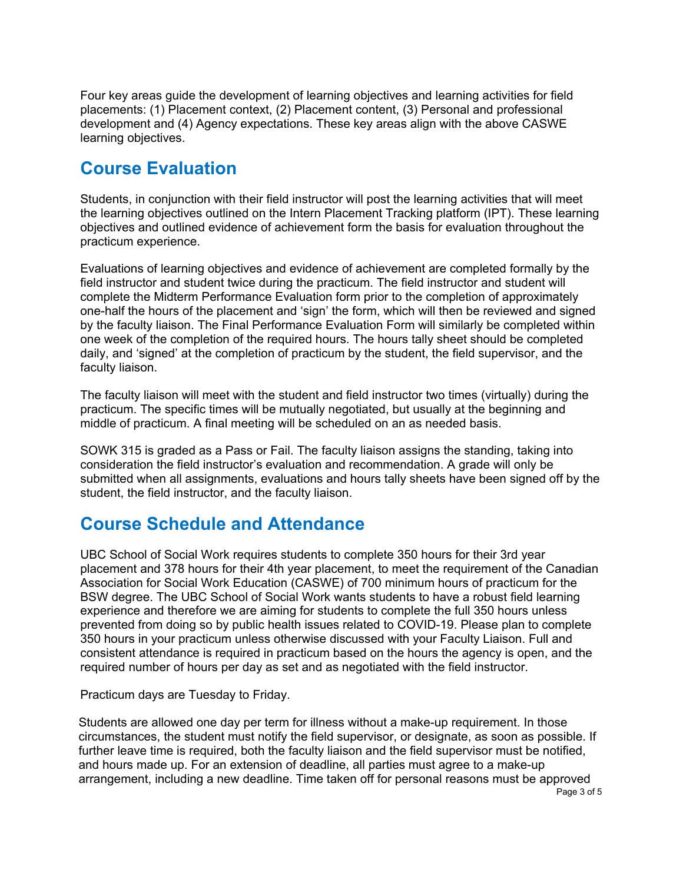Four key areas guide the development of learning objectives and learning activities for field placements: (1) Placement context, (2) Placement content, (3) Personal and professional development and (4) Agency expectations. These key areas align with the above CASWE learning objectives.

### **Course Evaluation**

Students, in conjunction with their field instructor will post the learning activities that will meet the learning objectives outlined on the Intern Placement Tracking platform (IPT). These learning objectives and outlined evidence of achievement form the basis for evaluation throughout the practicum experience.

Evaluations of learning objectives and evidence of achievement are completed formally by the field instructor and student twice during the practicum. The field instructor and student will complete the Midterm Performance Evaluation form prior to the completion of approximately one-half the hours of the placement and 'sign' the form, which will then be reviewed and signed by the faculty liaison. The Final Performance Evaluation Form will similarly be completed within one week of the completion of the required hours. The hours tally sheet should be completed daily, and 'signed' at the completion of practicum by the student, the field supervisor, and the faculty liaison.

The faculty liaison will meet with the student and field instructor two times (virtually) during the practicum. The specific times will be mutually negotiated, but usually at the beginning and middle of practicum. A final meeting will be scheduled on an as needed basis.

SOWK 315 is graded as a Pass or Fail. The faculty liaison assigns the standing, taking into consideration the field instructor's evaluation and recommendation. A grade will only be submitted when all assignments, evaluations and hours tally sheets have been signed off by the student, the field instructor, and the faculty liaison.

# **Course Schedule and Attendance**

UBC School of Social Work requires students to complete 350 hours for their 3rd year placement and 378 hours for their 4th year placement, to meet the requirement of the Canadian Association for Social Work Education (CASWE) of 700 minimum hours of practicum for the BSW degree. The UBC School of Social Work wants students to have a robust field learning experience and therefore we are aiming for students to complete the full 350 hours unless prevented from doing so by public health issues related to COVID-19. Please plan to complete 350 hours in your practicum unless otherwise discussed with your Faculty Liaison. Full and consistent attendance is required in practicum based on the hours the agency is open, and the required number of hours per day as set and as negotiated with the field instructor.

Practicum days are Tuesday to Friday.

Page 3 of 5 Students are allowed one day per term for illness without a make-up requirement. In those circumstances, the student must notify the field supervisor, or designate, as soon as possible. If further leave time is required, both the faculty liaison and the field supervisor must be notified, and hours made up. For an extension of deadline, all parties must agree to a make-up arrangement, including a new deadline. Time taken off for personal reasons must be approved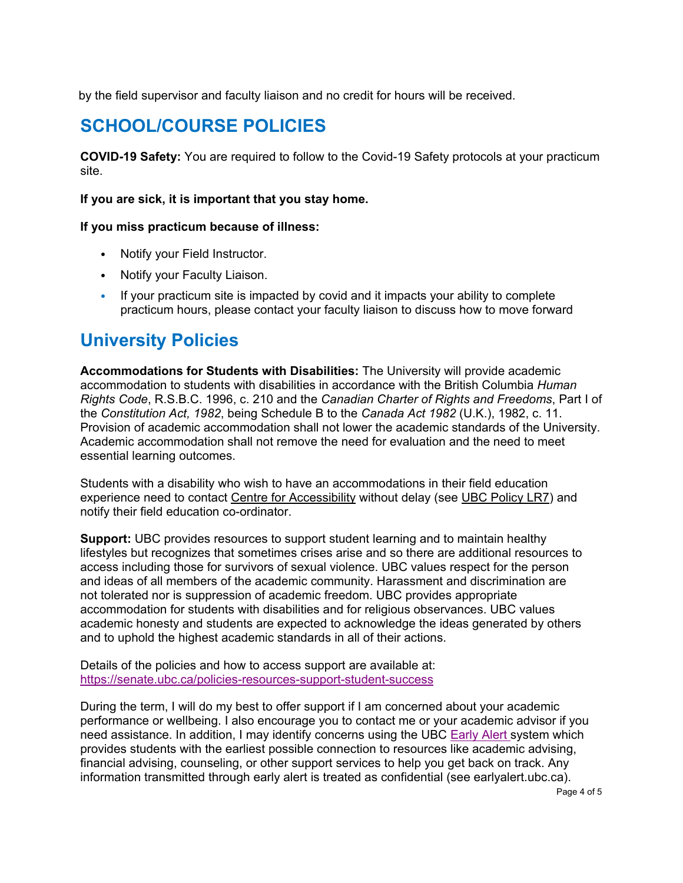by the field supervisor and faculty liaison and no credit for hours will be received.

# **SCHOOL/COURSE POLICIES**

**COVID-19 Safety:** You are required to follow to the Covid-19 Safety protocols at your practicum site.

### **If you are sick, it is important that you stay home.**

#### **If you miss practicum because of illness:**

- Notify your Field Instructor.
- Notify your Faculty Liaison.
- If your practicum site is impacted by covid and it impacts your ability to complete practicum hours, please contact your faculty liaison to discuss how to move forward

# **University Policies**

**Accommodations for Students with Disabilities:** The University will provide academic accommodation to students with disabilities in accordance with the British Columbia *Human Rights Code*, R.S.B.C. 1996, c. 210 and the *Canadian Charter of Rights and Freedoms*, Part I of the *Constitution Act, 1982*, being Schedule B to the *Canada Act 1982* (U.K.), 1982, c. 11. Provision of academic accommodation shall not lower the academic standards of the University. Academic accommodation shall not remove the need for evaluation and the need to meet essential learning outcomes.

Students with a disability who wish to have an accommodations in their field education experience need to contact Centre for [Accessibility](http://www.students.ubc.ca/about-student-services/centre-for-accessibility) without delay (see UBC [Policy](http://www.universitycounsel.ubc.ca/policies/policy73.pdf) LR7) and notify their field education co-ordinator.

**Support:** UBC provides resources to support student learning and to maintain healthy lifestyles but recognizes that sometimes crises arise and so there are additional resources to access including those for survivors of sexual violence. UBC values respect for the person and ideas of all members of the academic community. Harassment and discrimination are not tolerated nor is suppression of academic freedom. UBC provides appropriate accommodation for students with disabilities and for religious observances. UBC values academic honesty and students are expected to acknowledge the ideas generated by others and to uphold the highest academic standards in all of their actions.

Details of the policies and how to access support are available at: <https://senate.ubc.ca/policies-resources-support-student-success>

During the term, I will do my best to offer support if I am concerned about your academic performance or wellbeing. I also encourage you to contact me or your academic advisor if you need assistance. In addition, I may identify concerns using the UBC [Early Alert](http://earlyalert.ubc.ca/) system which provides students with the earliest possible connection to resources like academic advising, financial advising, counseling, or other support services to help you get back on track. Any information transmitted through early alert is treated as confidential (see earlyalert.ubc.ca).